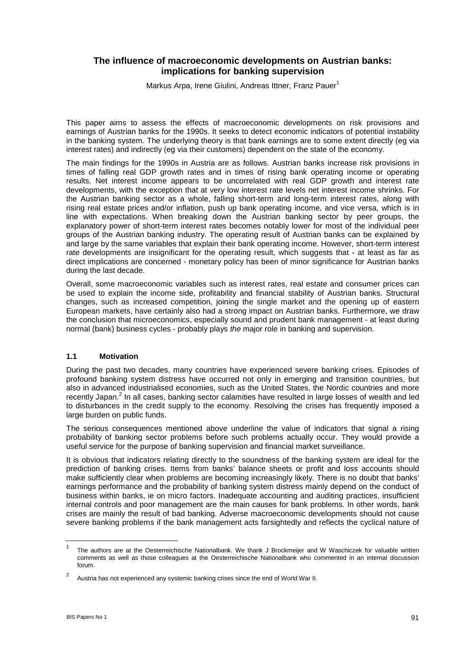# **The influence of macroeconomic developments on Austrian banks: implications for banking supervision**

Markus Arpa, Irene Giulini, Andreas Ittner, Franz Pauer<sup>1</sup>

This paper aims to assess the effects of macroeconomic developments on risk provisions and earnings of Austrian banks for the 1990s. It seeks to detect economic indicators of potential instability in the banking system. The underlying theory is that bank earnings are to some extent directly (eg via interest rates) and indirectly (eg via their customers) dependent on the state of the economy.

The main findings for the 1990s in Austria are as follows. Austrian banks increase risk provisions in times of falling real GDP growth rates and in times of rising bank operating income or operating results. Net interest income appears to be uncorrelated with real GDP growth and interest rate developments, with the exception that at very low interest rate levels net interest income shrinks. For the Austrian banking sector as a whole, falling short-term and long-term interest rates, along with rising real estate prices and/or inflation, push up bank operating income, and vice versa, which is in line with expectations. When breaking down the Austrian banking sector by peer groups, the explanatory power of short-term interest rates becomes notably lower for most of the individual peer groups of the Austrian banking industry. The operating result of Austrian banks can be explained by and large by the same variables that explain their bank operating income. However, short-term interest rate developments are insignificant for the operating result, which suggests that - at least as far as direct implications are concerned - monetary policy has been of minor significance for Austrian banks during the last decade.

Overall, some macroeconomic variables such as interest rates, real estate and consumer prices can be used to explain the income side, profitability and financial stability of Austrian banks. Structural changes, such as increased competition, joining the single market and the opening up of eastern European markets, have certainly also had a strong impact on Austrian banks. Furthermore, we draw the conclusion that microeconomics, especially sound and prudent bank management - at least during normal (bank) business cycles - probably plays *the* major role in banking and supervision.

## **1.1 Motivation**

During the past two decades, many countries have experienced severe banking crises. Episodes of profound banking system distress have occurred not only in emerging and transition countries, but also in advanced industrialised economies, such as the United States, the Nordic countries and more recently Japan.<sup>2</sup> In all cases, banking sector calamities have resulted in large losses of wealth and led to disturbances in the credit supply to the economy. Resolving the crises has frequently imposed a large burden on public funds.

The serious consequences mentioned above underline the value of indicators that signal a rising probability of banking sector problems before such problems actually occur. They would provide a useful service for the purpose of banking supervision and financial market surveillance.

It is obvious that indicators relating directly to the soundness of the banking system are ideal for the prediction of banking crises. Items from banks' balance sheets or profit and loss accounts should make sufficiently clear when problems are becoming increasingly likely. There is no doubt that banks' earnings performance and the probability of banking system distress mainly depend on the conduct of business within banks, ie on micro factors. Inadequate accounting and auditing practices, insufficient internal controls and poor management are the main causes for bank problems. In other words, bank crises are mainly the result of bad banking. Adverse macroeconomic developments should not cause severe banking problems if the bank management acts farsightedly and reflects the cyclical nature of

<sup>&</sup>lt;sup>1</sup> The authors are at the Oesterreichische Nationalbank. We thank J Brockmeijer and W Waschiczek for valuable written comments as well as those colleagues at the Oesterreichische Nationalbank who commented in an internal discussion forum.

<sup>&</sup>lt;sup>2</sup> Austria has not experienced any systemic banking crises since the end of World War II.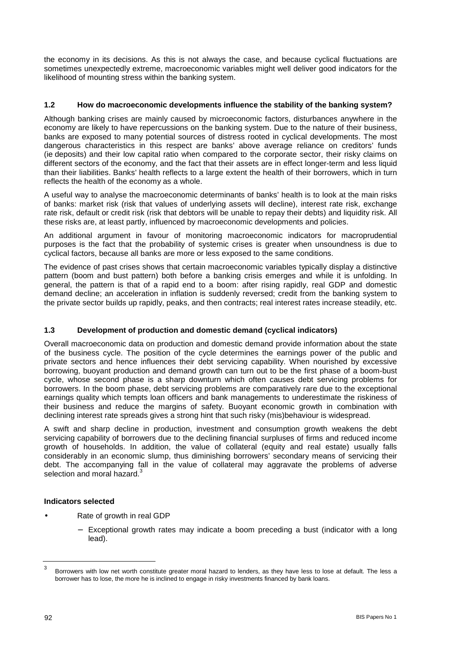the economy in its decisions. As this is not always the case, and because cyclical fluctuations are sometimes unexpectedly extreme, macroeconomic variables might well deliver good indicators for the likelihood of mounting stress within the banking system.

## **1.2 How do macroeconomic developments influence the stability of the banking system?**

Although banking crises are mainly caused by microeconomic factors, disturbances anywhere in the economy are likely to have repercussions on the banking system. Due to the nature of their business, banks are exposed to many potential sources of distress rooted in cyclical developments. The most dangerous characteristics in this respect are banks' above average reliance on creditors' funds (ie deposits) and their low capital ratio when compared to the corporate sector, their risky claims on different sectors of the economy, and the fact that their assets are in effect longer-term and less liquid than their liabilities. Banks' health reflects to a large extent the health of their borrowers, which in turn reflects the health of the economy as a whole.

A useful way to analyse the macroeconomic determinants of banks' health is to look at the main risks of banks: market risk (risk that values of underlying assets will decline), interest rate risk, exchange rate risk, default or credit risk (risk that debtors will be unable to repay their debts) and liquidity risk. All these risks are, at least partly, influenced by macroeconomic developments and policies.

An additional argument in favour of monitoring macroeconomic indicators for macroprudential purposes is the fact that the probability of systemic crises is greater when unsoundness is due to cyclical factors, because all banks are more or less exposed to the same conditions.

The evidence of past crises shows that certain macroeconomic variables typically display a distinctive pattern (boom and bust pattern) both before a banking crisis emerges and while it is unfolding. In general, the pattern is that of a rapid end to a boom: after rising rapidly, real GDP and domestic demand decline; an acceleration in inflation is suddenly reversed; credit from the banking system to the private sector builds up rapidly, peaks, and then contracts; real interest rates increase steadily, etc.

## **1.3 Development of production and domestic demand (cyclical indicators)**

Overall macroeconomic data on production and domestic demand provide information about the state of the business cycle. The position of the cycle determines the earnings power of the public and private sectors and hence influences their debt servicing capability. When nourished by excessive borrowing, buoyant production and demand growth can turn out to be the first phase of a boom-bust cycle, whose second phase is a sharp downturn which often causes debt servicing problems for borrowers. In the boom phase, debt servicing problems are comparatively rare due to the exceptional earnings quality which tempts loan officers and bank managements to underestimate the riskiness of their business and reduce the margins of safety. Buoyant economic growth in combination with declining interest rate spreads gives a strong hint that such risky (mis)behaviour is widespread.

A swift and sharp decline in production, investment and consumption growth weakens the debt servicing capability of borrowers due to the declining financial surpluses of firms and reduced income growth of households. In addition, the value of collateral (equity and real estate) usually falls considerably in an economic slump, thus diminishing borrowers' secondary means of servicing their debt. The accompanying fall in the value of collateral may aggravate the problems of adverse selection and moral hazard.<sup>3</sup>

## **Indicators selected**

- Rate of growth in real GDP
	- − Exceptional growth rates may indicate a boom preceding a bust (indicator with a long lead).

<sup>&</sup>lt;sup>3</sup> Borrowers with low net worth constitute greater moral hazard to lenders, as they have less to lose at default. The less a borrower has to lose, the more he is inclined to engage in risky investments financed by bank loans.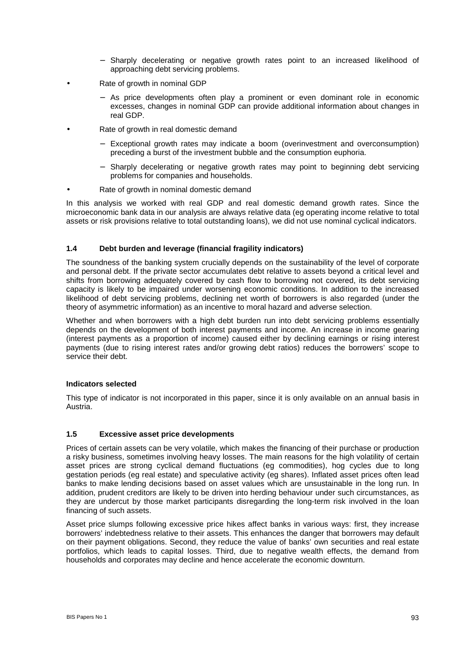- − Sharply decelerating or negative growth rates point to an increased likelihood of approaching debt servicing problems.
- Rate of growth in nominal GDP
	- − As price developments often play a prominent or even dominant role in economic excesses, changes in nominal GDP can provide additional information about changes in real GDP.
- Rate of growth in real domestic demand
	- − Exceptional growth rates may indicate a boom (overinvestment and overconsumption) preceding a burst of the investment bubble and the consumption euphoria.
	- − Sharply decelerating or negative growth rates may point to beginning debt servicing problems for companies and households.
- Rate of growth in nominal domestic demand

In this analysis we worked with real GDP and real domestic demand growth rates. Since the microeconomic bank data in our analysis are always relative data (eg operating income relative to total assets or risk provisions relative to total outstanding loans), we did not use nominal cyclical indicators.

## **1.4 Debt burden and leverage (financial fragility indicators)**

The soundness of the banking system crucially depends on the sustainability of the level of corporate and personal debt. If the private sector accumulates debt relative to assets beyond a critical level and shifts from borrowing adequately covered by cash flow to borrowing not covered, its debt servicing capacity is likely to be impaired under worsening economic conditions. In addition to the increased likelihood of debt servicing problems, declining net worth of borrowers is also regarded (under the theory of asymmetric information) as an incentive to moral hazard and adverse selection.

Whether and when borrowers with a high debt burden run into debt servicing problems essentially depends on the development of both interest payments and income. An increase in income gearing (interest payments as a proportion of income) caused either by declining earnings or rising interest payments (due to rising interest rates and/or growing debt ratios) reduces the borrowers' scope to service their debt.

### **Indicators selected**

This type of indicator is not incorporated in this paper, since it is only available on an annual basis in Austria.

### **1.5 Excessive asset price developments**

Prices of certain assets can be very volatile, which makes the financing of their purchase or production a risky business, sometimes involving heavy losses. The main reasons for the high volatility of certain asset prices are strong cyclical demand fluctuations (eg commodities), hog cycles due to long gestation periods (eg real estate) and speculative activity (eg shares). Inflated asset prices often lead banks to make lending decisions based on asset values which are unsustainable in the long run. In addition, prudent creditors are likely to be driven into herding behaviour under such circumstances, as they are undercut by those market participants disregarding the long-term risk involved in the loan financing of such assets.

Asset price slumps following excessive price hikes affect banks in various ways: first, they increase borrowers' indebtedness relative to their assets. This enhances the danger that borrowers may default on their payment obligations. Second, they reduce the value of banks' own securities and real estate portfolios, which leads to capital losses. Third, due to negative wealth effects, the demand from households and corporates may decline and hence accelerate the economic downturn.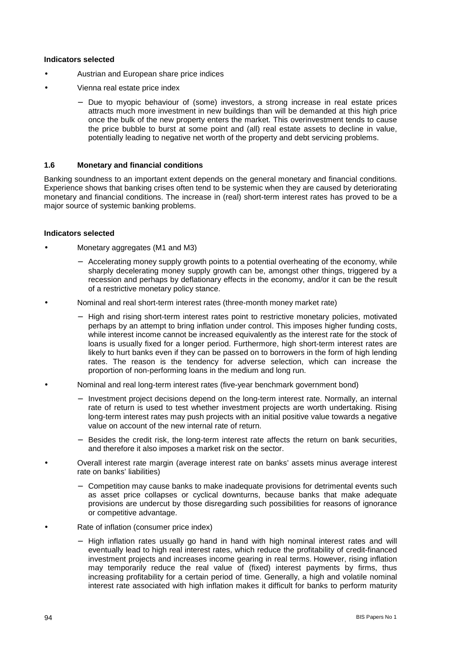#### **Indicators selected**

- Austrian and European share price indices
- Vienna real estate price index
	- − Due to myopic behaviour of (some) investors, a strong increase in real estate prices attracts much more investment in new buildings than will be demanded at this high price once the bulk of the new property enters the market. This overinvestment tends to cause the price bubble to burst at some point and (all) real estate assets to decline in value, potentially leading to negative net worth of the property and debt servicing problems.

### **1.6 Monetary and financial conditions**

Banking soundness to an important extent depends on the general monetary and financial conditions. Experience shows that banking crises often tend to be systemic when they are caused by deteriorating monetary and financial conditions. The increase in (real) short-term interest rates has proved to be a major source of systemic banking problems.

#### **Indicators selected**

- Monetary aggregates (M1 and M3)
	- Accelerating money supply growth points to a potential overheating of the economy, while sharply decelerating money supply growth can be, amongst other things, triggered by a recession and perhaps by deflationary effects in the economy, and/or it can be the result of a restrictive monetary policy stance.
- Nominal and real short-term interest rates (three-month money market rate)
	- − High and rising short-term interest rates point to restrictive monetary policies, motivated perhaps by an attempt to bring inflation under control. This imposes higher funding costs, while interest income cannot be increased equivalently as the interest rate for the stock of loans is usually fixed for a longer period. Furthermore, high short-term interest rates are likely to hurt banks even if they can be passed on to borrowers in the form of high lending rates. The reason is the tendency for adverse selection, which can increase the proportion of non-performing loans in the medium and long run.
- Nominal and real long-term interest rates (five-year benchmark government bond)
	- − Investment project decisions depend on the long-term interest rate. Normally, an internal rate of return is used to test whether investment projects are worth undertaking. Rising long-term interest rates may push projects with an initial positive value towards a negative value on account of the new internal rate of return.
	- − Besides the credit risk, the long-term interest rate affects the return on bank securities, and therefore it also imposes a market risk on the sector.
- Overall interest rate margin (average interest rate on banks' assets minus average interest rate on banks' liabilities)
	- − Competition may cause banks to make inadequate provisions for detrimental events such as asset price collapses or cyclical downturns, because banks that make adequate provisions are undercut by those disregarding such possibilities for reasons of ignorance or competitive advantage.
- Rate of inflation (consumer price index)
	- − High inflation rates usually go hand in hand with high nominal interest rates and will eventually lead to high real interest rates, which reduce the profitability of credit-financed investment projects and increases income gearing in real terms. However, rising inflation may temporarily reduce the real value of (fixed) interest payments by firms, thus increasing profitability for a certain period of time. Generally, a high and volatile nominal interest rate associated with high inflation makes it difficult for banks to perform maturity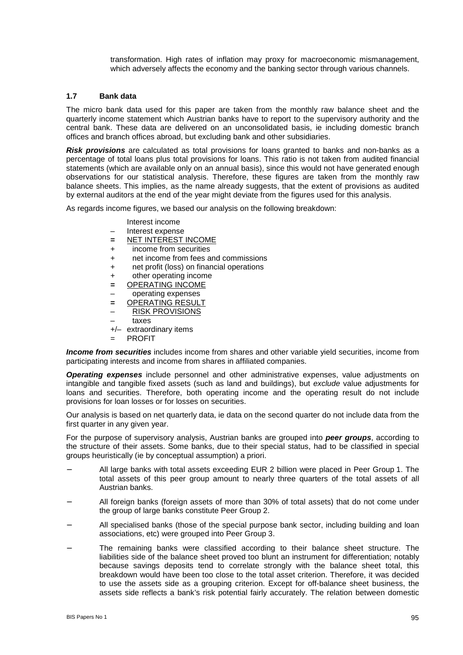transformation. High rates of inflation may proxy for macroeconomic mismanagement, which adversely affects the economy and the banking sector through various channels.

### **1.7 Bank data**

The micro bank data used for this paper are taken from the monthly raw balance sheet and the quarterly income statement which Austrian banks have to report to the supervisory authority and the central bank. These data are delivered on an unconsolidated basis, ie including domestic branch offices and branch offices abroad, but excluding bank and other subsidiaries.

*Risk provisions* are calculated as total provisions for loans granted to banks and non-banks as a percentage of total loans plus total provisions for loans. This ratio is not taken from audited financial statements (which are available only on an annual basis), since this would not have generated enough observations for our statistical analysis. Therefore, these figures are taken from the monthly raw balance sheets. This implies, as the name already suggests, that the extent of provisions as audited by external auditors at the end of the year might deviate from the figures used for this analysis.

As regards income figures, we based our analysis on the following breakdown:

- Interest income
- Interest expense
- **=** NET INTEREST INCOME
- + income from securities
- + net income from fees and commissions
- + net profit (loss) on financial operations
- + other operating income
- **=** OPERATING INCOME
- operating expenses
- **=** OPERATING RESULT
- RISK PROVISIONS
- taxes
- +/– extraordinary items
- **PROFIT**

*Income from securities* includes income from shares and other variable yield securities, income from participating interests and income from shares in affiliated companies.

*Operating expenses* include personnel and other administrative expenses, value adjustments on intangible and tangible fixed assets (such as land and buildings), but *exclude* value adjustments for loans and securities. Therefore, both operating income and the operating result do not include provisions for loan losses or for losses on securities.

Our analysis is based on net quarterly data, ie data on the second quarter do not include data from the first quarter in any given year.

For the purpose of supervisory analysis, Austrian banks are grouped into *peer groups*, according to the structure of their assets. Some banks, due to their special status, had to be classified in special groups heuristically (ie by conceptual assumption) a priori.

- − All large banks with total assets exceeding EUR 2 billion were placed in Peer Group 1. The total assets of this peer group amount to nearly three quarters of the total assets of all Austrian banks.
- − All foreign banks (foreign assets of more than 30% of total assets) that do not come under the group of large banks constitute Peer Group 2.
- − All specialised banks (those of the special purpose bank sector, including building and loan associations, etc) were grouped into Peer Group 3.
- The remaining banks were classified according to their balance sheet structure. The liabilities side of the balance sheet proved too blunt an instrument for differentiation; notably because savings deposits tend to correlate strongly with the balance sheet total, this breakdown would have been too close to the total asset criterion. Therefore, it was decided to use the assets side as a grouping criterion. Except for off-balance sheet business, the assets side reflects a bank's risk potential fairly accurately. The relation between domestic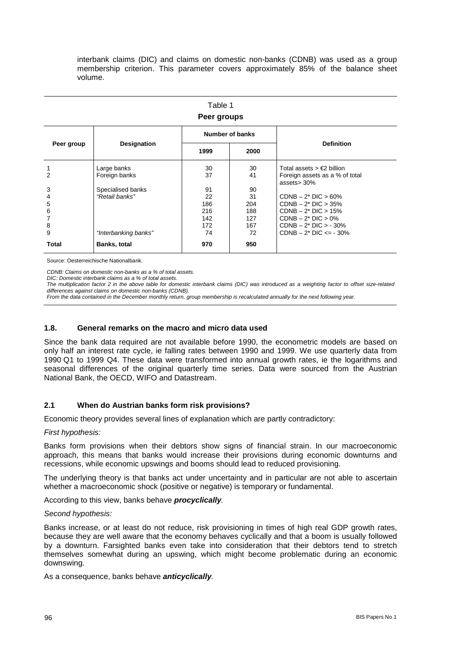interbank claims (DIC) and claims on domestic non-banks (CDNB) was used as a group membership criterion. This parameter covers approximately 85% of the balance sheet volume.

| Peer groups |                      |      |                 |                                                  |  |  |  |
|-------------|----------------------|------|-----------------|--------------------------------------------------|--|--|--|
|             |                      |      | Number of banks |                                                  |  |  |  |
| Peer group  | <b>Designation</b>   | 1999 | 2000            | <b>Definition</b>                                |  |  |  |
|             | Large banks          | 30   | 30              | Total assets $> \epsilon$ 2 billion              |  |  |  |
| 2           | Foreign banks        | 37   | 41              | Foreign assets as a % of total<br>assets $>$ 30% |  |  |  |
| 3           | Specialised banks    | 91   | 90              |                                                  |  |  |  |
| 4           | "Retail banks"       | 22   | 31              | $CDNB - 2^* DIC > 60\%$                          |  |  |  |
| 5           |                      | 186  | 204             | $CDNB - 2* DIC > 35%$                            |  |  |  |
| 6           |                      | 216  | 188             | $CDNB - 2^* DIC > 15%$                           |  |  |  |
|             |                      | 142  | 127             | $CDNB - 2^* DIC > 0\%$                           |  |  |  |
| 8           |                      | 172  | 167             | $CDNB - 2^* DIC > -30\%$                         |  |  |  |
| 9           | "Interbanking banks" | 74   | 72              | CDNB $- 2^*$ DIC $\le -30\%$                     |  |  |  |
| Total       | Banks, total         | 970  | 950             |                                                  |  |  |  |

Table 1 **Peer groups**

Source: Oesterreichische Nationalbank.

*CDNB: Claims on domestic non-banks as a % of total assets.*

*DIC: Domestic interbank claims as a % of total assets.*

*The multiplication factor 2 in the above table for domestic interbank claims (DIC) was introduced as a weighting factor to offset size-related differences against claims on domestic non-banks (CDNB).*

*From the data contained in the December monthly return, group membership is recalculated annually for the next following year.*

## **1.8. General remarks on the macro and micro data used**

Since the bank data required are not available before 1990, the econometric models are based on only half an interest rate cycle, ie falling rates between 1990 and 1999. We use quarterly data from 1990 Q1 to 1999 Q4. These data were transformed into annual growth rates, ie the logarithms and seasonal differences of the original quarterly time series. Data were sourced from the Austrian National Bank, the OECD, WIFO and Datastream.

## **2.1 When do Austrian banks form risk provisions?**

Economic theory provides several lines of explanation which are partly contradictory:

### *First hypothesis:*

Banks form provisions when their debtors show signs of financial strain. In our macroeconomic approach, this means that banks would increase their provisions during economic downturns and recessions, while economic upswings and booms should lead to reduced provisioning.

The underlying theory is that banks act under uncertainty and in particular are not able to ascertain whether a macroeconomic shock (positive or negative) is temporary or fundamental.

According to this view, banks behave *procyclically.*

### *Second hypothesis:*

Banks increase, or at least do not reduce, risk provisioning in times of high real GDP growth rates, because they are well aware that the economy behaves cyclically and that a boom is usually followed by a downturn. Farsighted banks even take into consideration that their debtors tend to stretch themselves somewhat during an upswing, which might become problematic during an economic downswing.

As a consequence, banks behave *anticyclically.*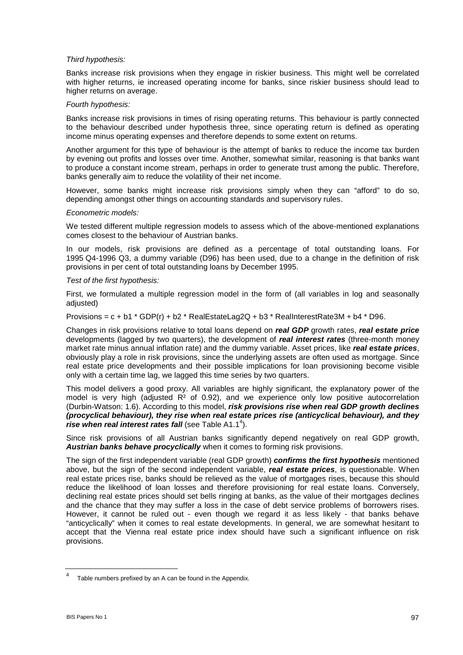### *Third hypothesis:*

Banks increase risk provisions when they engage in riskier business. This might well be correlated with higher returns, ie increased operating income for banks, since riskier business should lead to higher returns on average.

#### *Fourth hypothesis:*

Banks increase risk provisions in times of rising operating returns. This behaviour is partly connected to the behaviour described under hypothesis three, since operating return is defined as operating income minus operating expenses and therefore depends to some extent on returns.

Another argument for this type of behaviour is the attempt of banks to reduce the income tax burden by evening out profits and losses over time. Another, somewhat similar, reasoning is that banks want to produce a constant income stream, perhaps in order to generate trust among the public. Therefore, banks generally aim to reduce the volatility of their net income.

However, some banks might increase risk provisions simply when they can "afford" to do so, depending amongst other things on accounting standards and supervisory rules.

#### *Econometric models:*

We tested different multiple regression models to assess which of the above-mentioned explanations comes closest to the behaviour of Austrian banks.

In our models, risk provisions are defined as a percentage of total outstanding loans. For 1995 Q4-1996 Q3, a dummy variable (D96) has been used, due to a change in the definition of risk provisions in per cent of total outstanding loans by December 1995.

#### *Test of the first hypothesis:*

First, we formulated a multiple regression model in the form of (all variables in log and seasonally adiusted)

Provisions =  $c + b1$  \* GDP(r) +  $b2$  \* RealEstateLag2Q +  $b3$  \* RealInterestRate3M +  $b4$  \* D96.

Changes in risk provisions relative to total loans depend on *real GDP* growth rates, *real estate price* developments (lagged by two quarters), the development of *real interest rates* (three-month money market rate minus annual inflation rate) and the dummy variable. Asset prices, like *real estate prices*, obviously play a role in risk provisions, since the underlying assets are often used as mortgage. Since real estate price developments and their possible implications for loan provisioning become visible only with a certain time lag, we lagged this time series by two quarters.

This model delivers a good proxy. All variables are highly significant, the explanatory power of the model is very high (adjusted  $R<sup>2</sup>$  of 0.92), and we experience only low positive autocorrelation (Durbin-Watson: 1.6). According to this model, *risk provisions rise when real GDP growth declines (procyclical behaviour), they rise when real estate prices rise (anticyclical behaviour), and they* rise when real interest rates fall (see Table A1.1<sup>4</sup>).

Since risk provisions of all Austrian banks significantly depend negatively on real GDP growth, *Austrian banks behave procyclically* when it comes to forming risk provisions.

The sign of the first independent variable (real GDP growth) *confirms the first hypothesis* mentioned above, but the sign of the second independent variable, *real estate prices*, is questionable. When real estate prices rise, banks should be relieved as the value of mortgages rises, because this should reduce the likelihood of loan losses and therefore provisioning for real estate loans. Conversely, declining real estate prices should set bells ringing at banks, as the value of their mortgages declines and the chance that they may suffer a loss in the case of debt service problems of borrowers rises. However, it cannot be ruled out - even though we regard it as less likely - that banks behave "anticyclically" when it comes to real estate developments. In general, we are somewhat hesitant to accept that the Vienna real estate price index should have such a significant influence on risk provisions.

<sup>4</sup> Table numbers prefixed by an A can be found in the Appendix.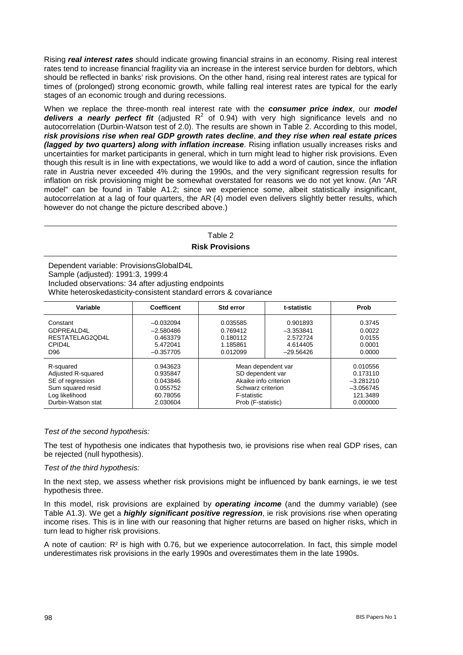Rising *real interest rates* should indicate growing financial strains in an economy. Rising real interest rates tend to increase financial fragility via an increase in the interest service burden for debtors, which should be reflected in banks' risk provisions. On the other hand, rising real interest rates are typical for times of (prolonged) strong economic growth, while falling real interest rates are typical for the early stages of an economic trough and during recessions.

When we replace the three-month real interest rate with the *consumer price index*, our *model* delivers a nearly perfect fit (adjusted R<sup>2</sup> of 0.94) with very high significance levels and no autocorrelation (Durbin-Watson test of 2.0). The results are shown in Table 2. According to this model, *risk provisions rise when real GDP growth rates decline*, *and they rise when real estate prices (lagged by two quarters) along with inflation increase*. Rising inflation usually increases risks and uncertainties for market participants in general, which in turn might lead to higher risk provisions. Even though this result is in line with expectations, we would like to add a word of caution, since the inflation rate in Austria never exceeded 4% during the 1990s, and the very significant regression results for inflation on risk provisioning might be somewhat overstated for reasons we do not yet know. (An "AR model" can be found in Table A1.2; since we experience some, albeit statistically insignificant, autocorrelation at a lag of four quarters, the AR (4) model even delivers slightly better results, which however do not change the picture described above.)

| Table 2                |
|------------------------|
| <b>Risk Provisions</b> |

Dependent variable: ProvisionsGlobalD4L Sample (adjusted): 1991:3, 1999:4 Included observations: 34 after adjusting endpoints White heteroskedasticity-consistent standard errors & covariance

| Variable           | <b>Coefficent</b> | Std error             | t-statistic | Prob        |
|--------------------|-------------------|-----------------------|-------------|-------------|
| Constant           | $-0.032094$       | 0.035585              | 0.901893    | 0.3745      |
| GDPREALD4L         | $-2.580486$       | 0.769412              | $-3.353841$ | 0.0022      |
| RESTATELAG2QD4L    | 0.463379          | 0.180112              | 2.572724    | 0.0155      |
| CPID4L             | 5.472041          | 1.185861              | 4.614405    | 0.0001      |
| D96                | $-0.357705$       | 0.012099              | $-29.56426$ | 0.0000      |
| R-squared          | 0.943623          | Mean dependent var    |             | 0.010556    |
| Adjusted R-squared | 0.935847          | SD dependent var      |             | 0.173110    |
| SE of regression   | 0.043846          | Akaike info criterion |             | $-3.281210$ |
| Sum squared resid  | 0.055752          | Schwarz criterion     |             | $-3.056745$ |
| Log likelihood     | 60.78056          | F-statistic           |             | 121.3489    |
| Durbin-Watson stat | 2.030604          | Prob (F-statistic)    |             | 0.000000    |

### *Test of the second hypothesis:*

The test of hypothesis one indicates that hypothesis two, ie provisions rise when real GDP rises, can be rejected (null hypothesis).

### *Test of the third hypothesis:*

In the next step, we assess whether risk provisions might be influenced by bank earnings, ie we test hypothesis three.

In this model, risk provisions are explained by *operating income* (and the dummy variable) (see Table A1.3). We get a *highly significant positive regression*, ie risk provisions rise when operating income rises. This is in line with our reasoning that higher returns are based on higher risks, which in turn lead to higher risk provisions.

A note of caution: R² is high with 0.76, but we experience autocorrelation. In fact, this simple model underestimates risk provisions in the early 1990s and overestimates them in the late 1990s.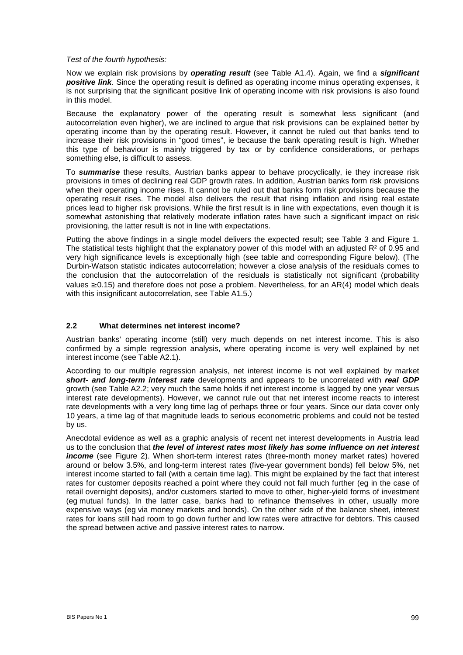*Test of the fourth hypothesis:*

Now we explain risk provisions by *operating result* (see Table A1.4). Again, we find a *significant positive link*. Since the operating result is defined as operating income minus operating expenses, it is not surprising that the significant positive link of operating income with risk provisions is also found in this model.

Because the explanatory power of the operating result is somewhat less significant (and autocorrelation even higher), we are inclined to argue that risk provisions can be explained better by operating income than by the operating result. However, it cannot be ruled out that banks tend to increase their risk provisions in "good times", ie because the bank operating result is high. Whether this type of behaviour is mainly triggered by tax or by confidence considerations, or perhaps something else, is difficult to assess.

To *summarise* these results, Austrian banks appear to behave procyclically, ie they increase risk provisions in times of declining real GDP growth rates. In addition, Austrian banks form risk provisions when their operating income rises. It cannot be ruled out that banks form risk provisions because the operating result rises. The model also delivers the result that rising inflation and rising real estate prices lead to higher risk provisions. While the first result is in line with expectations, even though it is somewhat astonishing that relatively moderate inflation rates have such a significant impact on risk provisioning, the latter result is not in line with expectations.

Putting the above findings in a single model delivers the expected result; see Table 3 and Figure 1. The statistical tests highlight that the explanatory power of this model with an adjusted R<sup>2</sup> of 0.95 and very high significance levels is exceptionally high (see table and corresponding Figure below). (The Durbin-Watson statistic indicates autocorrelation; however a close analysis of the residuals comes to the conclusion that the autocorrelation of the residuals is statistically not significant (probability values  $\geq$  0.15) and therefore does not pose a problem. Nevertheless, for an AR(4) model which deals with this insignificant autocorrelation, see Table A1.5.)

### **2.2 What determines net interest income?**

Austrian banks' operating income (still) very much depends on net interest income. This is also confirmed by a simple regression analysis, where operating income is very well explained by net interest income (see Table A2.1).

According to our multiple regression analysis, net interest income is not well explained by market *short- and long-term interest rate* developments and appears to be uncorrelated with *real GDP* growth (see Table A2.2; very much the same holds if net interest income is lagged by one year versus interest rate developments). However, we cannot rule out that net interest income reacts to interest rate developments with a very long time lag of perhaps three or four years. Since our data cover only 10 years, a time lag of that magnitude leads to serious econometric problems and could not be tested by us.

Anecdotal evidence as well as a graphic analysis of recent net interest developments in Austria lead us to the conclusion that *the level of interest rates most likely has some influence on net interest income* (see Figure 2). When short-term interest rates (three-month money market rates) hovered around or below 3.5%, and long-term interest rates (five-year government bonds) fell below 5%, net interest income started to fall (with a certain time lag). This might be explained by the fact that interest rates for customer deposits reached a point where they could not fall much further (eg in the case of retail overnight deposits), and/or customers started to move to other, higher-yield forms of investment (eg mutual funds). In the latter case, banks had to refinance themselves in other, usually more expensive ways (eg via money markets and bonds). On the other side of the balance sheet, interest rates for loans still had room to go down further and low rates were attractive for debtors. This caused the spread between active and passive interest rates to narrow.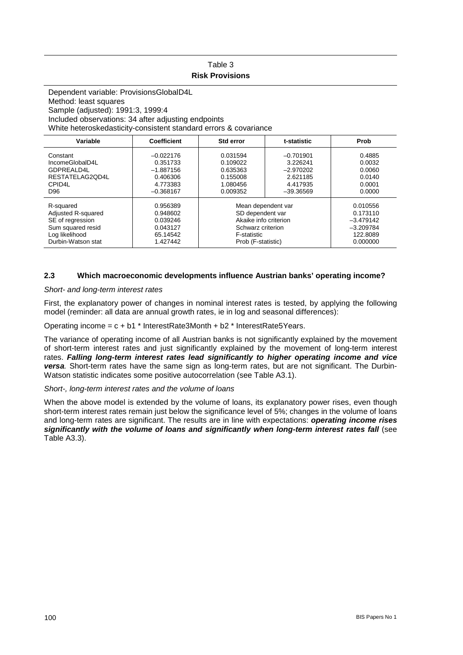## Table 3 **Risk Provisions**

| Dependent variable: Provisions Global D4L                        |
|------------------------------------------------------------------|
| Method: least squares                                            |
| Sample (adjusted): 1991:3, 1999:4                                |
| Included observations: 34 after adjusting endpoints              |
| White heteroskedasticity-consistent standard errors & covariance |

| Variable           | <b>Coefficient</b> | Std error             | t-statistic | Prob        |
|--------------------|--------------------|-----------------------|-------------|-------------|
| Constant           | $-0.022176$        | 0.031594              | $-0.701901$ | 0.4885      |
| IncomeGlobalD4L    | 0.351733           | 0.109022              | 3.226241    | 0.0032      |
| GDPREALD4L         | $-1.887156$        | 0.635363              | $-2.970202$ | 0.0060      |
| RESTATELAG2QD4L    | 0.406306           | 0.155008              | 2.621185    | 0.0140      |
| CPID4L             | 4.773383           | 1.080456              | 4.417935    | 0.0001      |
| D96                | $-0.368167$        | 0.009352              | $-39.36569$ | 0.0000      |
| R-squared          | 0.956389           | Mean dependent var    |             | 0.010556    |
| Adjusted R-squared | 0.948602           | SD dependent var      |             | 0.173110    |
| SE of regression   | 0.039246           | Akaike info criterion |             | $-3.479142$ |
| Sum squared resid  | 0.043127           | Schwarz criterion     |             | $-3.209784$ |
| Log likelihood     | 65.14542           | F-statistic           |             | 122.8089    |
| Durbin-Watson stat | 1.427442           | Prob (F-statistic)    |             | 0.000000    |

## **2.3 Which macroeconomic developments influence Austrian banks' operating income?**

### *Short- and long-term interest rates*

First, the explanatory power of changes in nominal interest rates is tested, by applying the following model (reminder: all data are annual growth rates, ie in log and seasonal differences):

Operating income = c + b1 \* InterestRate3Month + b2 \* InterestRate5Years.

The variance of operating income of all Austrian banks is not significantly explained by the movement of short-term interest rates and just significantly explained by the movement of long-term interest rates. *Falling long-term interest rates lead significantly to higher operating income and vice versa.* Short-term rates have the same sign as long-term rates, but are not significant. The Durbin-Watson statistic indicates some positive autocorrelation (see Table A3.1).

### *Short-, long-term interest rates and the volume of loans*

When the above model is extended by the volume of loans, its explanatory power rises, even though short-term interest rates remain just below the significance level of 5%; changes in the volume of loans and long-term rates are significant. The results are in line with expectations: *operating income rises significantly with the volume of loans and significantly when long-term interest rates fall* (see Table A3.3).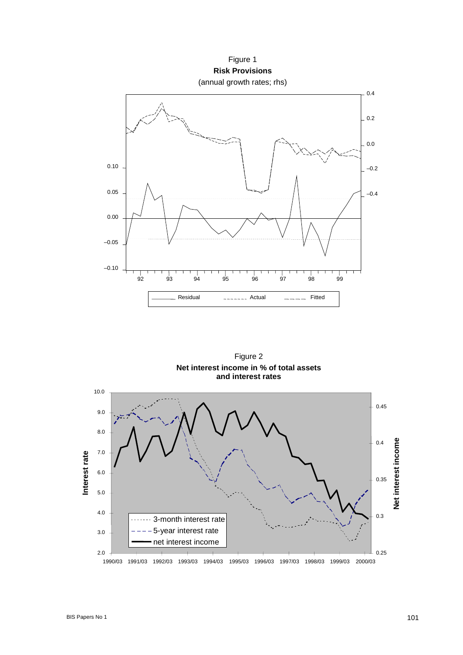Figure 1 **Risk Provisions** (annual growth rates; rhs)





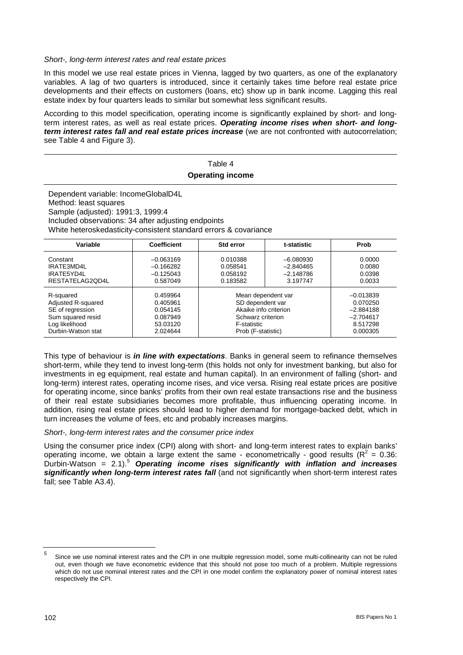#### *Short-, long-term interest rates and real estate prices*

In this model we use real estate prices in Vienna, lagged by two quarters, as one of the explanatory variables. A lag of two quarters is introduced, since it certainly takes time before real estate price developments and their effects on customers (loans, etc) show up in bank income. Lagging this real estate index by four quarters leads to similar but somewhat less significant results.

According to this model specification, operating income is significantly explained by short- and longterm interest rates, as well as real estate prices. *Operating income rises when short- and longterm interest rates fall and real estate prices increase* (we are not confronted with autocorrelation; see Table 4 and Figure 3).

| Table 4                 |  |
|-------------------------|--|
| <b>Operating income</b> |  |

Dependent variable: IncomeGlobalD4L Method: least squares Sample (adjusted): 1991:3, 1999:4 Included observations: 34 after adjusting endpoints White heteroskedasticity-consistent standard errors & covariance

| Variable           | <b>Coefficient</b> | Std error             | t-statistic | Prob        |
|--------------------|--------------------|-----------------------|-------------|-------------|
| Constant           | $-0.063169$        | 0.010388              | $-6.080930$ | 0.0000      |
| IRATE3MD4L         | $-0.166282$        | 0.058541              | $-2.840465$ | 0.0080      |
| IRATE5YD4L         | $-0.125043$        | 0.058192              | $-2.148786$ | 0.0398      |
| RESTATELAG2QD4L    | 0.587049           | 0.183582              | 3.197747    | 0.0033      |
| R-squared          | 0.459964           | Mean dependent var    |             | $-0.013839$ |
| Adjusted R-squared | 0.405961           | SD dependent var      |             | 0.070250    |
| SE of regression   | 0.054145           | Akaike info criterion |             | $-2.884188$ |
| Sum squared resid  | 0.087949           | Schwarz criterion     |             | $-2.704617$ |
| Log likelihood     | 53.03120           | F-statistic           |             | 8.517298    |
| Durbin-Watson stat | 2.024644           | Prob (F-statistic)    |             | 0.000305    |

This type of behaviour is *in line with expectations*. Banks in general seem to refinance themselves short-term, while they tend to invest long-term (this holds not only for investment banking, but also for investments in eg equipment, real estate and human capital). In an environment of falling (short- and long-term) interest rates, operating income rises, and vice versa. Rising real estate prices are positive for operating income, since banks' profits from their own real estate transactions rise and the business of their real estate subsidiaries becomes more profitable, thus influencing operating income. In addition, rising real estate prices should lead to higher demand for mortgage-backed debt, which in turn increases the volume of fees, etc and probably increases margins.

### *Short-, long-term interest rates and the consumer price index*

Using the consumer price index (CPI) along with short- and long-term interest rates to explain banks' operating income, we obtain a large extent the same - econometrically - good results  $(R^2 = 0.36$ . Durbin-Watson = 2.1).<sup>5</sup> Operating income rises significantly with inflation and increases *significantly when long-term interest rates fall* (and not significantly when short-term interest rates fall; see Table A3.4).

<sup>5</sup> Since we use nominal interest rates and the CPI in one multiple regression model, some multi-collinearity can not be ruled out, even though we have econometric evidence that this should not pose too much of a problem. Multiple regressions which do not use nominal interest rates and the CPI in one model confirm the explanatory power of nominal interest rates respectively the CPI.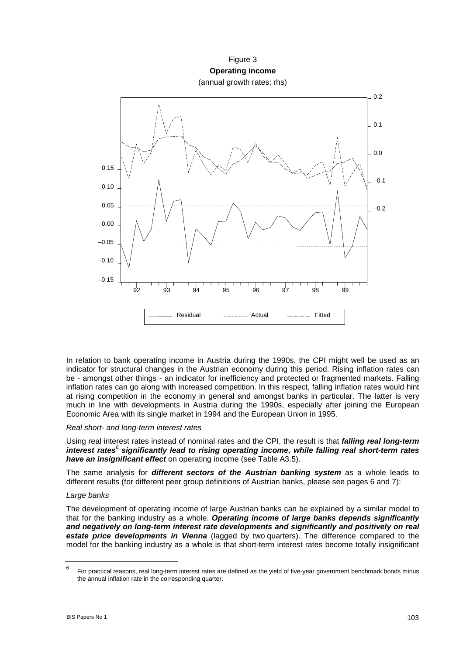Figure 3 **Operating income** (annual growth rates; rhs)



In relation to bank operating income in Austria during the 1990s, the CPI might well be used as an indicator for structural changes in the Austrian economy during this period. Rising inflation rates can be - amongst other things - an indicator for inefficiency and protected or fragmented markets. Falling inflation rates can go along with increased competition. In this respect, falling inflation rates would hint at rising competition in the economy in general and amongst banks in particular. The latter is very much in line with developments in Austria during the 1990s, especially after joining the European Economic Area with its single market in 1994 and the European Union in 1995.

#### *Real short- and long-term interest rates*

Using real interest rates instead of nominal rates and the CPI, the result is that *falling real long-term interest rates<sup>6</sup> significantly lead to rising operating income, while falling real short-term rates have an insignificant effect* on operating income (see Table A3.5).

The same analysis for *different sectors of the Austrian banking system* as a whole leads to different results (for different peer group definitions of Austrian banks, please see pages 6 and 7):

#### *Large banks*

The development of operating income of large Austrian banks can be explained by a similar model to that for the banking industry as a whole. *Operating income of large banks depends significantly and negatively on long-term interest rate developments and significantly and positively on real estate price developments in Vienna* (lagged by two quarters). The difference compared to the model for the banking industry as a whole is that short-term interest rates become totally insignificant

<sup>6</sup> For practical reasons, real long-term interest rates are defined as the yield of five-year government benchmark bonds minus the annual inflation rate in the corresponding quarter.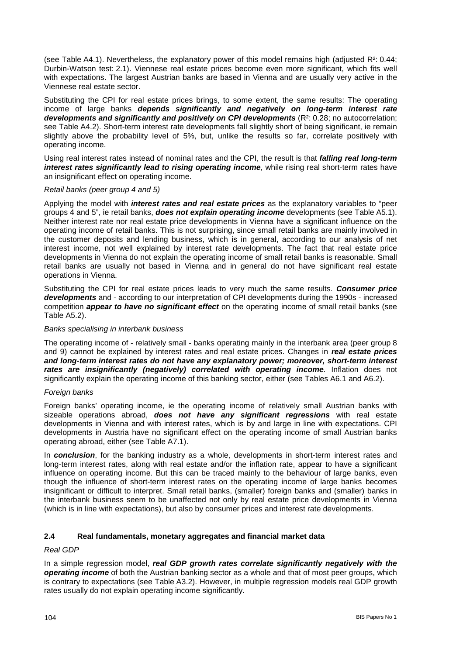(see Table A4.1). Nevertheless, the explanatory power of this model remains high (adjusted R²: 0.44; Durbin-Watson test: 2.1). Viennese real estate prices become even more significant, which fits well with expectations. The largest Austrian banks are based in Vienna and are usually very active in the Viennese real estate sector.

Substituting the CPI for real estate prices brings, to some extent, the same results: The operating income of large banks *depends significantly and negatively on long-term interest rate developments and significantly and positively on CPI developments* (R²: 0.28; no autocorrelation; see Table A4.2). Short-term interest rate developments fall slightly short of being significant, ie remain slightly above the probability level of 5%, but, unlike the results so far, correlate positively with operating income.

Using real interest rates instead of nominal rates and the CPI, the result is that *falling real long-term interest rates significantly lead to rising operating income, while rising real short-term rates have* an insignificant effect on operating income.

### *Retail banks (peer group 4 and 5)*

Applying the model with *interest rates and real estate prices* as the explanatory variables to "peer groups 4 and 5", ie retail banks, *does not explain operating income* developments (see Table A5.1). Neither interest rate nor real estate price developments in Vienna have a significant influence on the operating income of retail banks. This is not surprising, since small retail banks are mainly involved in the customer deposits and lending business, which is in general, according to our analysis of net interest income, not well explained by interest rate developments. The fact that real estate price developments in Vienna do not explain the operating income of small retail banks is reasonable. Small retail banks are usually not based in Vienna and in general do not have significant real estate operations in Vienna.

Substituting the CPI for real estate prices leads to very much the same results. *Consumer price developments* and - according to our interpretation of CPI developments during the 1990s - increased competition *appear to have no significant effect* on the operating income of small retail banks (see Table A5.2).

## *Banks specialising in interbank business*

The operating income of - relatively small - banks operating mainly in the interbank area (peer group 8 and 9) cannot be explained by interest rates and real estate prices. Changes in *real estate prices and long-term interest rates do not have any explanatory power; moreover, short-term interest rates are insignificantly (negatively) correlated with operating income.* Inflation does not significantly explain the operating income of this banking sector, either (see Tables A6.1 and A6.2).

### *Foreign banks*

Foreign banks' operating income, ie the operating income of relatively small Austrian banks with sizeable operations abroad, *does not have any significant regressions* with real estate developments in Vienna and with interest rates, which is by and large in line with expectations. CPI developments in Austria have no significant effect on the operating income of small Austrian banks operating abroad, either (see Table A7.1).

In **conclusion**, for the banking industry as a whole, developments in short-term interest rates and long-term interest rates, along with real estate and/or the inflation rate, appear to have a significant influence on operating income. But this can be traced mainly to the behaviour of large banks, even though the influence of short-term interest rates on the operating income of large banks becomes insignificant or difficult to interpret. Small retail banks, (smaller) foreign banks and (smaller) banks in the interbank business seem to be unaffected not only by real estate price developments in Vienna (which is in line with expectations), but also by consumer prices and interest rate developments.

## **2.4 Real fundamentals, monetary aggregates and financial market data**

### *Real GDP*

In a simple regression model, *real GDP growth rates correlate significantly negatively with the* **operating income** of both the Austrian banking sector as a whole and that of most peer groups, which is contrary to expectations (see Table A3.2). However, in multiple regression models real GDP growth rates usually do not explain operating income significantly.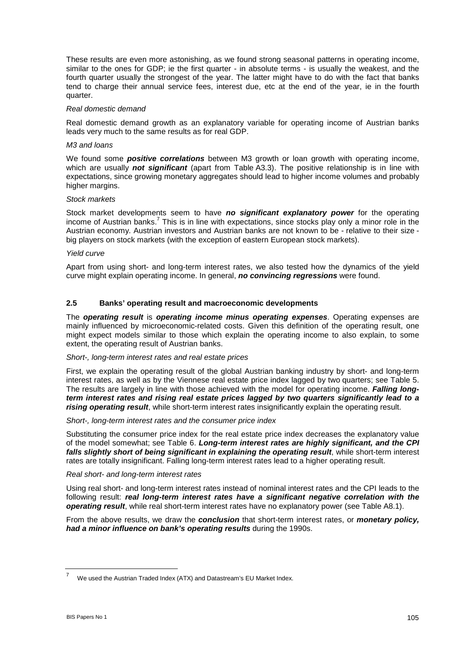These results are even more astonishing, as we found strong seasonal patterns in operating income, similar to the ones for GDP; ie the first quarter - in absolute terms - is usually the weakest, and the fourth quarter usually the strongest of the year. The latter might have to do with the fact that banks tend to charge their annual service fees, interest due, etc at the end of the year, ie in the fourth quarter.

#### *Real domestic demand*

Real domestic demand growth as an explanatory variable for operating income of Austrian banks leads very much to the same results as for real GDP.

### *M3 and loans*

We found some *positive correlations* between M3 growth or loan growth with operating income, which are usually *not significant* (apart from Table A3.3). The positive relationship is in line with expectations, since growing monetary aggregates should lead to higher income volumes and probably higher margins.

#### *Stock markets*

Stock market developments seem to have *no significant explanatory power* for the operating income of Austrian banks.<sup>7</sup> This is in line with expectations, since stocks play only a minor role in the Austrian economy. Austrian investors and Austrian banks are not known to be - relative to their size big players on stock markets (with the exception of eastern European stock markets).

#### *Yield curve*

Apart from using short- and long-term interest rates, we also tested how the dynamics of the yield curve might explain operating income. In general, *no convincing regressions* were found.

### **2.5 Banks' operating result and macroeconomic developments**

The *operating result* is *operating income minus operating expenses*. Operating expenses are mainly influenced by microeconomic-related costs. Given this definition of the operating result, one might expect models similar to those which explain the operating income to also explain, to some extent, the operating result of Austrian banks.

### *Short-, long-term interest rates and real estate prices*

First, we explain the operating result of the global Austrian banking industry by short- and long-term interest rates, as well as by the Viennese real estate price index lagged by two quarters; see Table 5. The results are largely in line with those achieved with the model for operating income. *Falling longterm interest rates and rising real estate prices lagged by two quarters significantly lead to a rising operating result*, while short-term interest rates insignificantly explain the operating result.

#### *Short-, long-term interest rates and the consumer price index*

Substituting the consumer price index for the real estate price index decreases the explanatory value of the model somewhat; see Table 6. *Long-term interest rates are highly significant, and the CPI* falls slightly short of being significant in explaining the operating result, while short-term interest rates are totally insignificant. Falling long-term interest rates lead to a higher operating result.

### *Real short- and long-term interest rates*

Using real short- and long-term interest rates instead of nominal interest rates and the CPI leads to the following result: *real long-term interest rates have a significant negative correlation with the operating result*, while real short-term interest rates have no explanatory power (see Table A8.1).

From the above results, we draw the *conclusion* that short-term interest rates, or *monetary policy, had a minor influence on bank's operating results* during the 1990s.

<sup>7</sup> We used the Austrian Traded Index (ATX) and Datastream's EU Market Index.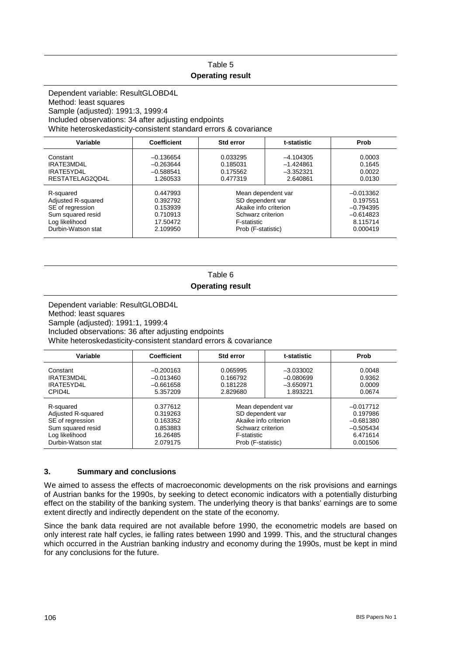## Table 5 **Operating result**

| Dependent variable: ResultGLOBD4L                                |
|------------------------------------------------------------------|
| Method: least squares                                            |
| Sample (adjusted): 1991:3, 1999:4                                |
| Included observations: 34 after adjusting endpoints              |
| White heteroskedasticity-consistent standard errors & covariance |

| Variable           | <b>Coefficient</b> | <b>Std error</b>      | t-statistic | Prob        |
|--------------------|--------------------|-----------------------|-------------|-------------|
| Constant           | $-0.136654$        | 0.033295              | $-4.104305$ | 0.0003      |
| IRATE3MD4L         | $-0.263644$        | 0.185031              | $-1.424861$ | 0.1645      |
| IRATE5YD4L         | $-0.588541$        | 0.175562              | $-3.352321$ | 0.0022      |
| RESTATELAG2QD4L    | 1.260533           | 0.477319              | 2.640861    | 0.0130      |
| R-squared          | 0.447993           | Mean dependent var    |             | $-0.013362$ |
| Adjusted R-squared | 0.392792           | SD dependent var      |             | 0.197551    |
| SE of regression   | 0.153939           | Akaike info criterion |             | $-0.794395$ |
| Sum squared resid  | 0.710913           | Schwarz criterion     |             | $-0.614823$ |
| Log likelihood     | 17.50472           | F-statistic           |             | 8.115714    |
| Durbin-Watson stat | 2.109950           | Prob (F-statistic)    |             | 0.000419    |

# Table 6 **Operating result**

Dependent variable: ResultGLOBD4L Method: least squares Sample (adjusted): 1991:1, 1999:4 Included observations: 36 after adjusting endpoints White heteroskedasticity-consistent standard errors & covariance

| Variable           | <b>Coefficient</b> | Std error             | t-statistic | Prob        |
|--------------------|--------------------|-----------------------|-------------|-------------|
| Constant           | $-0.200163$        | 0.065995              | $-3.033002$ | 0.0048      |
| IRATE3MD4L         | $-0.013460$        | 0.166792              | $-0.080699$ | 0.9362      |
| IRATE5YD4L         | $-0.661658$        | 0.181228              | $-3.650971$ | 0.0009      |
| CPID4I             | 5.357209           | 2.829680              | 1.893221    | 0.0674      |
| R-squared          | 0.377612           | Mean dependent var    |             | $-0.017712$ |
| Adjusted R-squared | 0.319263           | SD dependent var      |             | 0.197986    |
| SE of regression   | 0.163352           | Akaike info criterion |             | $-0.681380$ |
| Sum squared resid  | 0.853883           | Schwarz criterion     |             | $-0.505434$ |
| Log likelihood     | 16.26485           | F-statistic           |             | 6.471614    |
| Durbin-Watson stat | 2.079175           | Prob (F-statistic)    |             | 0.001506    |

## **3. Summary and conclusions**

We aimed to assess the effects of macroeconomic developments on the risk provisions and earnings of Austrian banks for the 1990s, by seeking to detect economic indicators with a potentially disturbing effect on the stability of the banking system. The underlying theory is that banks' earnings are to some extent directly and indirectly dependent on the state of the economy.

Since the bank data required are not available before 1990, the econometric models are based on only interest rate half cycles, ie falling rates between 1990 and 1999. This, and the structural changes which occurred in the Austrian banking industry and economy during the 1990s, must be kept in mind for any conclusions for the future.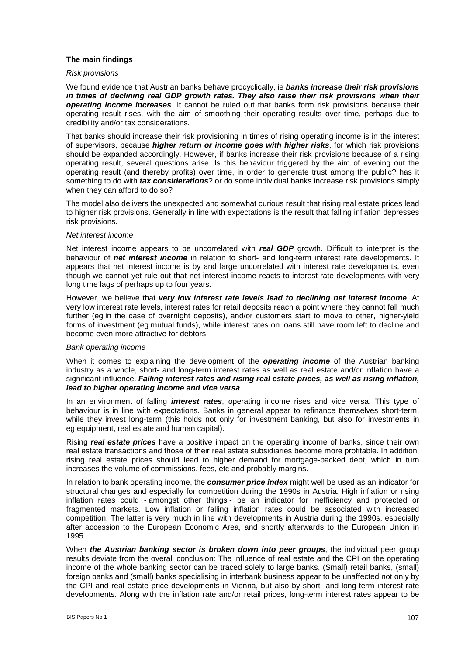### **The main findings**

#### *Risk provisions*

We found evidence that Austrian banks behave procyclically, ie *banks increase their risk provisions in times of declining real GDP growth rates. They also raise their risk provisions when their operating income increases*. It cannot be ruled out that banks form risk provisions because their operating result rises, with the aim of smoothing their operating results over time, perhaps due to credibility and/or tax considerations.

That banks should increase their risk provisioning in times of rising operating income is in the interest of supervisors, because *higher return or income goes with higher risks*, for which risk provisions should be expanded accordingly. However, if banks increase their risk provisions because of a rising operating result, several questions arise. Is this behaviour triggered by the aim of evening out the operating result (and thereby profits) over time, in order to generate trust among the public? has it something to do with *tax considerations*? or do some individual banks increase risk provisions simply when they can afford to do so?

The model also delivers the unexpected and somewhat curious result that rising real estate prices lead to higher risk provisions. Generally in line with expectations is the result that falling inflation depresses risk provisions.

### *Net interest income*

Net interest income appears to be uncorrelated with *real GDP* growth. Difficult to interpret is the behaviour of *net interest income* in relation to short- and long-term interest rate developments. It appears that net interest income is by and large uncorrelated with interest rate developments, even though we cannot yet rule out that net interest income reacts to interest rate developments with very long time lags of perhaps up to four years.

However, we believe that *very low interest rate levels lead to declining net interest income*. At very low interest rate levels, interest rates for retail deposits reach a point where they cannot fall much further (eg in the case of overnight deposits), and/or customers start to move to other, higher-yield forms of investment (eg mutual funds), while interest rates on loans still have room left to decline and become even more attractive for debtors.

### *Bank operating income*

When it comes to explaining the development of the *operating income* of the Austrian banking industry as a whole, short- and long-term interest rates as well as real estate and/or inflation have a significant influence. *Falling interest rates and rising real estate prices, as well as rising inflation, lead to higher operating income and vice versa*.

In an environment of falling *interest rates*, operating income rises and vice versa. This type of behaviour is in line with expectations. Banks in general appear to refinance themselves short-term, while they invest long-term (this holds not only for investment banking, but also for investments in eg equipment, real estate and human capital).

Rising *real estate prices* have a positive impact on the operating income of banks, since their own real estate transactions and those of their real estate subsidiaries become more profitable. In addition, rising real estate prices should lead to higher demand for mortgage-backed debt, which in turn increases the volume of commissions, fees, etc and probably margins.

In relation to bank operating income, the *consumer price index* might well be used as an indicator for structural changes and especially for competition during the 1990s in Austria. High inflation or rising inflation rates could - amongst other things - be an indicator for inefficiency and protected or fragmented markets. Low inflation or falling inflation rates could be associated with increased competition. The latter is very much in line with developments in Austria during the 1990s, especially after accession to the European Economic Area, and shortly afterwards to the European Union in 1995.

When *the Austrian banking sector is broken down into peer groups*, the individual peer group results deviate from the overall conclusion: The influence of real estate and the CPI on the operating income of the whole banking sector can be traced solely to large banks. (Small) retail banks, (small) foreign banks and (small) banks specialising in interbank business appear to be unaffected not only by the CPI and real estate price developments in Vienna, but also by short- and long-term interest rate developments. Along with the inflation rate and/or retail prices, long-term interest rates appear to be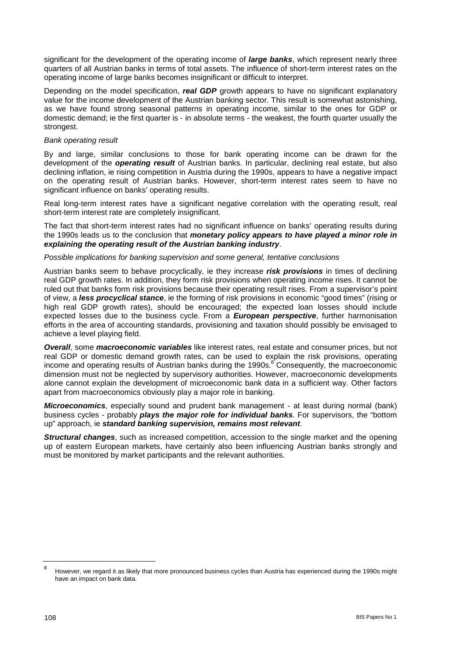significant for the development of the operating income of *large banks*, which represent nearly three quarters of all Austrian banks in terms of total assets. The influence of short-term interest rates on the operating income of large banks becomes insignificant or difficult to interpret.

Depending on the model specification, *real GDP* growth appears to have no significant explanatory value for the income development of the Austrian banking sector. This result is somewhat astonishing, as we have found strong seasonal patterns in operating income, similar to the ones for GDP or domestic demand; ie the first quarter is - in absolute terms - the weakest, the fourth quarter usually the strongest.

## *Bank operating result*

By and large, similar conclusions to those for bank operating income can be drawn for the development of the *operating result* of Austrian banks. In particular, declining real estate, but also declining inflation, ie rising competition in Austria during the 1990s, appears to have a negative impact on the operating result of Austrian banks. However, short-term interest rates seem to have no significant influence on banks' operating results.

Real long-term interest rates have a significant negative correlation with the operating result, real short-term interest rate are completely insignificant.

The fact that short-term interest rates had no significant influence on banks' operating results during the 1990s leads us to the conclusion that *monetary policy appears to have played a minor role in explaining the operating result of the Austrian banking industry*.

### *Possible implications for banking supervision and some general, tentative conclusions*

Austrian banks seem to behave procyclically, ie they increase *risk provisions* in times of declining real GDP growth rates. In addition, they form risk provisions when operating income rises. It cannot be ruled out that banks form risk provisions because their operating result rises. From a supervisor's point of view, a *less procyclical stance*, ie the forming of risk provisions in economic "good times" (rising or high real GDP growth rates), should be encouraged; the expected loan losses should include expected losses due to the business cycle. From a *European perspective*, further harmonisation efforts in the area of accounting standards, provisioning and taxation should possibly be envisaged to achieve a level playing field.

*Overall*, some *macroeconomic variables* like interest rates, real estate and consumer prices, but not real GDP or domestic demand growth rates, can be used to explain the risk provisions, operating income and operating results of Austrian banks during the 1990s.<sup>8</sup> Consequently, the macroeconomic dimension must not be neglected by supervisory authorities. However, macroeconomic developments alone cannot explain the development of microeconomic bank data in a sufficient way. Other factors apart from macroeconomics obviously play a major role in banking.

*Microeconomics*, especially sound and prudent bank management - at least during normal (bank) business cycles - probably *plays the major role for individual banks*. For supervisors, the "bottom up" approach, ie *standard banking supervision, remains most relevant*.

*Structural changes*, such as increased competition, accession to the single market and the opening up of eastern European markets, have certainly also been influencing Austrian banks strongly and must be monitored by market participants and the relevant authorities.

<sup>8</sup> However, we regard it as likely that more pronounced business cycles than Austria has experienced during the 1990s might have an impact on bank data.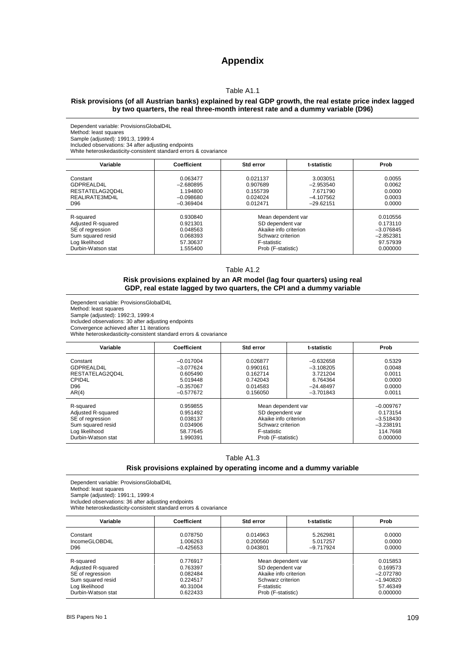# **Appendix**

#### Table A1.1

#### **Risk provisions (of all Austrian banks) explained by real GDP growth, the real estate price index lagged by two quarters, the real three-month interest rate and a dummy variable (D96)**

Dependent variable: ProvisionsGlobalD4L

Method: least squares

Sample (adjusted): 1991:3, 1999:4

Included observations: 34 after adjusting endpoints White heteroskedasticity-consistent standard errors & covariance

| Variable           | Coefficient | Std error             | t-statistic | Prob        |
|--------------------|-------------|-----------------------|-------------|-------------|
| Constant           | 0.063477    | 0.021137              | 3.003051    | 0.0055      |
| GDPREALD4L         | $-2.680895$ | 0.907689              | $-2.953540$ | 0.0062      |
| RESTATELAG2QD4L    | 1.194800    | 0.155739              | 7.671790    | 0.0000      |
| REALIRATE3MD4L     | $-0.098680$ | 0.024024              | $-4.107562$ | 0.0003      |
| D96                | $-0.369404$ | 0.012471              | $-29.62151$ | 0.0000      |
| R-squared          | 0.930840    | Mean dependent var    |             | 0.010556    |
| Adjusted R-squared | 0.921301    | SD dependent var      |             | 0.173110    |
| SE of regression   | 0.048563    | Akaike info criterion |             | $-3.076845$ |
| Sum squared resid  | 0.068393    | Schwarz criterion     |             | $-2.852381$ |
| Log likelihood     | 57.30637    | F-statistic           |             | 97.57939    |
| Durbin-Watson stat | 1.555400    | Prob (F-statistic)    |             | 0.000000    |

#### Table A1.2

#### **Risk provisions explained by an AR model (lag four quarters) using real GDP, real estate lagged by two quarters, the CPI and a dummy variable**

Dependent variable: ProvisionsGlobalD4L

Method: least squares

Sample (adjusted): 1992:3, 1999:4

Included observations: 30 after adjusting endpoints

Convergence achieved after 11 iterations

White heteroskedasticity-consistent standard errors & covariance

| Variable           | Coefficient | Std error             | t-statistic | Prob        |
|--------------------|-------------|-----------------------|-------------|-------------|
| Constant           | $-0.017004$ | 0.026877              | $-0.632658$ | 0.5329      |
| GDPREALD4L         | $-3.077624$ | 0.990161              | $-3.108205$ | 0.0048      |
| RESTATELAG2OD4L    | 0.605490    | 0.162714              | 3.721204    | 0.0011      |
| CPID4L             | 5.019448    | 0.742043              | 6.764364    | 0.0000      |
| D96                | $-0.357067$ | 0.014583              | $-24.48497$ | 0.0000      |
| AR(4)              | $-0.577672$ | 0.156050              | $-3.701843$ | 0.0011      |
| R-squared          | 0.959855    | Mean dependent var    |             | $-0.009767$ |
| Adjusted R-squared | 0.951492    | SD dependent var      |             | 0.173154    |
| SE of regression   | 0.038137    | Akaike info criterion |             | $-3.518430$ |
| Sum squared resid  | 0.034906    | Schwarz criterion     |             | $-3.238191$ |
| Log likelihood     | 58.77645    | F-statistic           |             | 114.7668    |
| Durbin-Watson stat | 1.990391    | Prob (F-statistic)    |             | 0.000000    |

## Table A1.3

#### **Risk provisions explained by operating income and a dummy variable**

Dependent variable: ProvisionsGlobalD4L

Method: least squares

Sample (adjusted): 1991:1, 1999:4

Included observations: 36 after adjusting endpoints White heteroskedasticity-consistent standard errors & covariance

| Variable           | Coefficient | Std error             | t-statistic | Prob        |
|--------------------|-------------|-----------------------|-------------|-------------|
| Constant           | 0.078750    | 0.014963              | 5.262981    | 0.0000      |
| IncomeGLOBD4L      | 1.006263    | 0.200560              | 5.017257    | 0.0000      |
| D96                | $-0.425653$ | 0.043801              | $-9.717924$ | 0.0000      |
| R-squared          | 0.776917    | Mean dependent var    |             | 0.015853    |
| Adjusted R-squared | 0.763397    | SD dependent var      |             | 0.169573    |
| SE of regression   | 0.082484    | Akaike info criterion |             | $-2.072780$ |
| Sum squared resid  | 0.224517    | Schwarz criterion     |             | $-1.940820$ |
| Log likelihood     | 40.31004    | F-statistic           |             | 57.46349    |
| Durbin-Watson stat | 0.622433    | Prob (F-statistic)    |             | 0.000000    |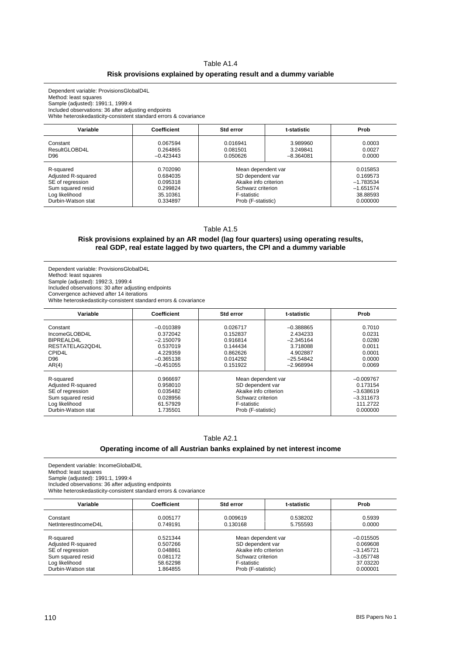## Table A1.4 **Risk provisions explained by operating result and a dummy variable**

Dependent variable: ProvisionsGlobalD4L Method: least squares Sample (adjusted): 1991:1, 1999:4 Included observations: 36 after adjusting endpoints White heteroskedasticity-consistent standard errors & covariance

| Variable           | Coefficient | Std error             | t-statistic | Prob        |
|--------------------|-------------|-----------------------|-------------|-------------|
| Constant           | 0.067594    | 0.016941              | 3.989960    | 0.0003      |
| ResultGLOBD4L      | 0.264865    | 0.081501              | 3.249841    | 0.0027      |
| D96                | $-0.423443$ | 0.050626              | $-8.364081$ | 0.0000      |
| R-squared          | 0.702090    | Mean dependent var    |             | 0.015853    |
| Adjusted R-squared | 0.684035    | SD dependent var      |             | 0.169573    |
| SE of regression   | 0.095318    | Akaike info criterion |             | $-1.783534$ |
| Sum squared resid  | 0.299824    | Schwarz criterion     |             | $-1.651574$ |
| Log likelihood     | 35.10361    | F-statistic           |             | 38.88593    |
| Durbin-Watson stat | 0.334897    | Prob (F-statistic)    |             | 0.000000    |

#### Table A1.5

#### **Risk provisions explained by an AR model (lag four quarters) using operating results, real GDP, real estate lagged by two quarters, the CPI and a dummy variable**

Dependent variable: ProvisionsGlobalD4L

Method: least squares

Sample (adjusted): 1992:3, 1999:4

Included observations: 30 after adjusting endpoints

Convergence achieved after 14 iterations White heteroskedasticity-consistent standard errors & covariance

| Variable           | Coefficient | Std error             | t-statistic | Prob        |
|--------------------|-------------|-----------------------|-------------|-------------|
| Constant           | $-0.010389$ | 0.026717              | $-0.388865$ | 0.7010      |
| IncomeGLOBD4L      | 0.372042    | 0.152837              | 2.434233    | 0.0231      |
| BIPREALD4L         | $-2.150079$ | 0.916814              | $-2.345164$ | 0.0280      |
| RESTATELAG2QD4L    | 0.537019    | 0.144434              | 3.718088    | 0.0011      |
| CPID4L             | 4.229359    | 0.862626              | 4.902887    | 0.0001      |
| D96                | $-0.365138$ | 0.014292              | $-25.54842$ | 0.0000      |
| AR(4)              | $-0.451055$ | 0.151922              | $-2.968994$ | 0.0069      |
| R-squared          | 0.966697    | Mean dependent var    |             | $-0.009767$ |
| Adjusted R-squared | 0.958010    | SD dependent var      |             | 0.173154    |
| SE of regression   | 0.035482    | Akaike info criterion |             | $-3.638619$ |
| Sum squared resid  | 0.028956    | Schwarz criterion     |             | $-3.311673$ |
| Log likelihood     | 61.57929    | F-statistic           |             | 111.2722    |
| Durbin-Watson stat | 1.735501    | Prob (F-statistic)    |             | 0.000000    |

#### Table A2.1

#### **Operating income of all Austrian banks explained by net interest income**

Dependent variable: IncomeGlobalD4L

Method: least squares

Sample (adjusted): 1991:1, 1999:4

Included observations: 36 after adjusting endpoints

| Variable             | Coefficient | <b>Std error</b>      | t-statistic | Prob        |
|----------------------|-------------|-----------------------|-------------|-------------|
| Constant             | 0.005177    | 0.009619              | 0.538202    | 0.5939      |
| NetInterestIncomeD4L | 0.749191    | 0.130168              | 5.755593    | 0.0000      |
| R-squared            | 0.521344    | Mean dependent var    |             | $-0.015505$ |
| Adjusted R-squared   | 0.507266    | SD dependent var      |             | 0.069608    |
| SE of regression     | 0.048861    | Akaike info criterion |             | $-3.145721$ |
| Sum squared resid    | 0.081172    | Schwarz criterion     |             | $-3.057748$ |
| Log likelihood       | 58.62298    | F-statistic           |             | 37.03220    |
| Durbin-Watson stat   | 1.864855    | Prob (F-statistic)    |             | 0.000001    |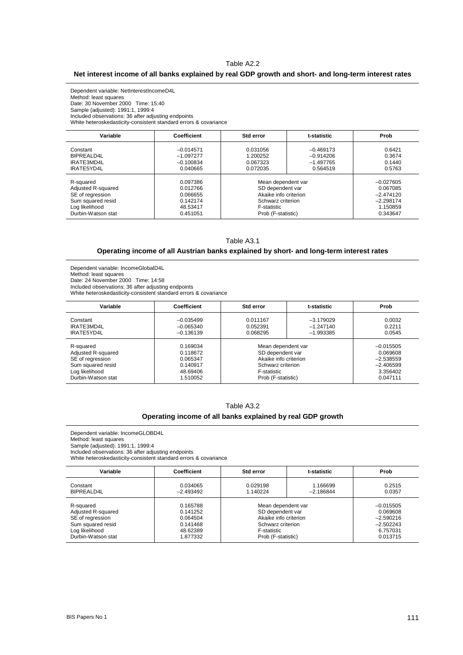## Table A2.2 **Net interest income of all banks explained by real GDP growth and short- and long-term interest rates**

Dependent variable: NetInterestIncomeD4L Method: least squares Date: 30 November 2000 Time: 15:40 Sample (adjusted): 1991:1, 1999:4 Included observations: 36 after adjusting endpoints White heteroskedasticity-consistent standard errors & covariance

| Variable           | Coefficient | Std error             | t-statistic | Prob        |
|--------------------|-------------|-----------------------|-------------|-------------|
| Constant           | $-0.014571$ | 0.031056              | $-0.469173$ | 0.6421      |
| BIPREALD4L         | $-1.097277$ | 1.200252              | $-0.914206$ | 0.3674      |
| IRATE3MD4L         | $-0.100834$ | 0.067323              | $-1.497765$ | 0.1440      |
| IRATE5YD4L         | 0.040665    | 0.072035              | 0.564519    | 0.5763      |
| R-squared          | 0.097386    | Mean dependent var    |             | $-0.027605$ |
| Adjusted R-squared | 0.012766    | SD dependent var      |             | 0.067085    |
| SE of regression   | 0.066655    | Akaike info criterion |             | $-2.474120$ |
| Sum squared resid  | 0.142174    | Schwarz criterion     |             | $-2.298174$ |
| Log likelihood     | 48.53417    | F-statistic           |             | 1.150859    |
| Durbin-Watson stat | 0.451051    | Prob (F-statistic)    |             | 0.343647    |

#### Table A3.1

#### **Operating income of all Austrian banks explained by short- and long-term interest rates**

Dependent variable: IncomeGlobalD4L

Method: least squares

Date: 24 November 2000 Time: 14:58

Included observations: 36 after adjusting endpoints

White heteroskedasticity-consistent standard errors & covariance

| Variable           | Coefficient | <b>Std error</b>      | t-statistic | Prob        |
|--------------------|-------------|-----------------------|-------------|-------------|
| Constant           | $-0.035499$ | 0.011167              | $-3.179029$ | 0.0032      |
| IRATE3MD4L         | $-0.065340$ | 0.052391              | $-1.247140$ | 0.2211      |
| IRATE5YD4L         | $-0.136139$ | 0.068295              | $-1.993385$ | 0.0545      |
| R-squared          | 0.169034    | Mean dependent var    |             | $-0.015505$ |
| Adjusted R-squared | 0.118672    | SD dependent var      |             | 0.069608    |
| SE of regression   | 0.065347    | Akaike info criterion |             | $-2.538559$ |
| Sum squared resid  | 0.140917    | Schwarz criterion     |             | $-2.406599$ |
| Log likelihood     | 48.69406    | F-statistic           |             | 3.356402    |
| Durbin-Watson stat | 1.510052    | Prob (F-statistic)    |             | 0.047111    |

#### Table A3.2

#### **Operating income of all banks explained by real GDP growth**

Dependent variable: IncomeGLOBD4L Method: least squares Sample (adjusted): 1991:1, 1999:4 Included observations: 36 after adjusting endpoints White heteroskedasticity-consistent standard errors & covariance

| Variable           | Coefficient | Std error             | t-statistic | Prob        |
|--------------------|-------------|-----------------------|-------------|-------------|
| Constant           | 0.034065    | 0.029198              | 1.166699    | 0.2515      |
| BIPREALD4L         | $-2.493492$ | 1.140224              | $-2.186844$ | 0.0357      |
| R-squared          | 0.165788    | Mean dependent var    |             | $-0.015505$ |
| Adjusted R-squared | 0.141252    | SD dependent var      |             | 0.069608    |
| SE of regression   | 0.064504    | Akaike info criterion |             | $-2.590216$ |
| Sum squared resid  | 0.141468    | Schwarz criterion     |             | $-2.502243$ |
| Log likelihood     | 48.62389    | F-statistic           |             | 6.757031    |
| Durbin-Watson stat | 1.877332    | Prob (F-statistic)    |             | 0.013715    |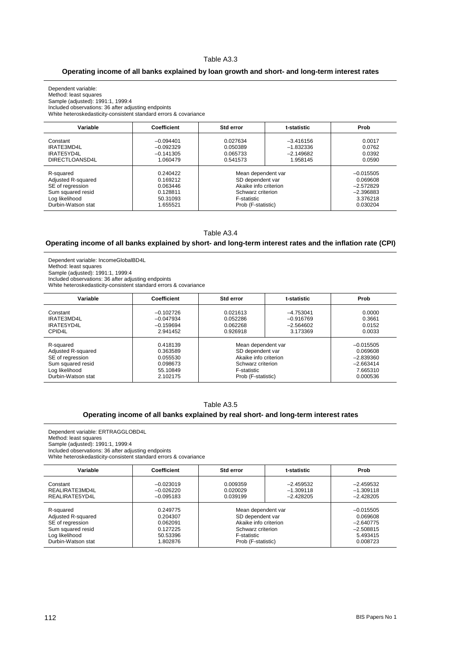### Table A3.3

#### **Operating income of all banks explained by loan growth and short- and long-term interest rates**

Method: least squares

Sample (adjusted): 1991:1, 1999:4

Included observations: 36 after adjusting endpoints White heteroskedasticity-consistent standard errors & covariance

| Variable           | Coefficient | Std error             | t-statistic | Prob        |
|--------------------|-------------|-----------------------|-------------|-------------|
| Constant           | $-0.094401$ | 0.027634              | $-3.416156$ | 0.0017      |
| IRATE3MD4L         | $-0.092329$ | 0.050389              | $-1.832336$ | 0.0762      |
| IRATE5YD4L         | $-0.141305$ | 0.065733              | $-2.149682$ | 0.0392      |
| DIRECTLOANSD4L     | 1.060479    | 0.541573              | 1.958145    | 0.0590      |
| R-squared          | 0.240422    | Mean dependent var    |             | $-0.015505$ |
| Adjusted R-squared | 0.169212    | SD dependent var      |             | 0.069608    |
| SE of regression   | 0.063446    | Akaike info criterion |             | $-2.572829$ |
| Sum squared resid  | 0.128811    | Schwarz criterion     |             | $-2.396883$ |
| Log likelihood     | 50.31093    | F-statistic           |             | 3.376218    |
| Durbin-Watson stat | 1.655521    | Prob (F-statistic)    |             | 0.030204    |

#### Table A3.4

#### **Operating income of all banks explained by short- and long-term interest rates and the inflation rate (CPI)**

Dependent variable: IncomeGlobalBD4L

Method: least squares

Sample (adjusted): 1991:1, 1999:4

Included observations: 36 after adjusting endpoints White heteroskedasticity-consistent standard errors & covariance

**Variable Coefficient Std error t-statistic Prob** Constant –0.102726 0.021613 –4.753041 0.0000 IRATE3MD4L –0.047934 0.052286 –0.916769 0.3661 IRATE5YD4L –0.159694 0.062268 –2.564602 0.0152 CPID4L 2.941452 0.926918 3.173369 0.0033 R-squared 0.418139 Mean dependent var –0.015505 Adjusted R-squared **CONFERGATE:** 0.363589 CONFERGATE: 0.069608<br>
SD dependent var CONFERGATE: 0.055530<br>
Akaike info criterion Conference CONFERGATE: 0.0533860<br>
Akaike info criterion Conference CONFERGATE: 0.339360  $\begin{array}{c|c}\n 0.055530 & \text{Akaike info criterion} \\
 0.098673 & \text{Schwarz criterion} \\
 \end{array}$   $\begin{array}{c|c}\n -2.839360 \\
 -2.663414\n \end{array}$ Sum squared resid 0.098673 Schwarz criterion –2.663414 Log likelihood 55.10849 F-statistic 7.665310 Durbin-Watson stat **2.102175** Prob (F-statistic)

#### Table A3.5

#### **Operating income of all banks explained by real short- and long-term interest rates**

Dependent variable: ERTRAGGLOBD4L

Method: least squares

Sample (adjusted): 1991:1, 1999:4

Included observations: 36 after adjusting endpoints

White heteroskedasticity-consistent standard errors & covariance **Variable Coefficient Std error t-statistic Prob** Constant –0.023019 0.009359 –2.459532 –2.459532 REALIRATE3MD4L –0.026220 0.020029 –1.309118 –1.309118 REALIRATE5YD4L R-squared **1.2.49775** Mean dependent var 1.2015505 Adjusted R-squared  $0.204307$  SD dependent var 0.069608<br>SE of regression and the contract of 0.062091 Akaike info criterion and the criterion contract of the 2.640775 SE of regression and the contract of the criterion of the criterion of the criterion of the criterion of the contract of the criterion of the criterion of the criterion of the criterion of the criterion of the criterion of Sum squared resid  $0.127225$  Schwarz criterion example to the  $-2.508815$ Log likelihood 50.53396 F-statistic 5.493415 Durbin-Watson stat 1.802876 Prob (F-statistic) 0.008723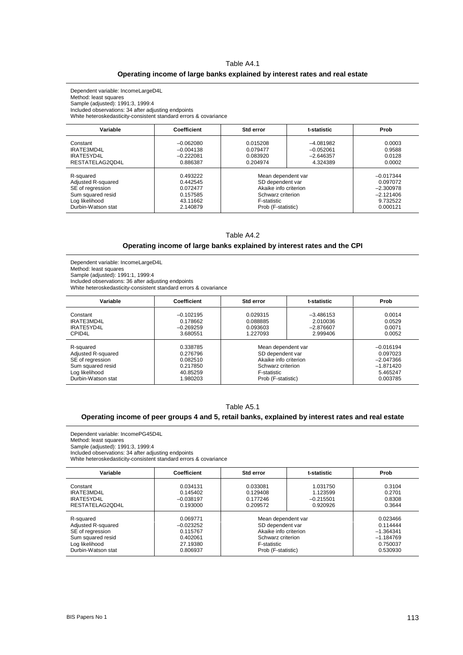## Table A4.1 **Operating income of large banks explained by interest rates and real estate**

Dependent variable: IncomeLargeD4L Method: least squares Sample (adjusted): 1991:3, 1999:4 Included observations: 34 after adjusting endpoints White heteroskedasticity-consistent standard errors & covariance

| Variable           | Coefficient | Std error             | t-statistic | Prob        |
|--------------------|-------------|-----------------------|-------------|-------------|
| Constant           | $-0.062080$ | 0.015208              | $-4.081982$ | 0.0003      |
| IRATE3MD4L         | $-0.004138$ | 0.079477              | $-0.052061$ | 0.9588      |
| IRATE5YD4L         | $-0.222081$ | 0.083920              | $-2.646357$ | 0.0128      |
| RESTATELAG2QD4L    | 0.886387    | 0.204974              | 4.324389    | 0.0002      |
| R-squared          | 0.493222    | Mean dependent var    |             | $-0.017344$ |
| Adjusted R-squared | 0.442545    | SD dependent var      |             | 0.097072    |
| SE of regression   | 0.072477    | Akaike info criterion |             | $-2.300978$ |
| Sum squared resid  | 0.157585    | Schwarz criterion     |             | $-2.121406$ |
| Log likelihood     | 43.11662    | F-statistic           |             | 9.732522    |
| Durbin-Watson stat | 2.140879    | Prob (F-statistic)    |             | 0.000121    |

### Table A4.2

## **Operating income of large banks explained by interest rates and the CPI**

Dependent variable: IncomeLargeD4L

Method: least squares

Sample (adjusted): 1991:1, 1999:4

Included observations: 36 after adjusting endpoints White heteroskedasticity-consistent standard errors & covariance

| Variable           | Coefficient | Std error             | t-statistic | Prob        |
|--------------------|-------------|-----------------------|-------------|-------------|
| Constant           | $-0.102195$ | 0.029315              | $-3.486153$ | 0.0014      |
| IRATE3MD4L         | 0.178662    | 0.088885              | 2.010036    | 0.0529      |
| IRATE5YD4L         | $-0.269259$ | 0.093603              | $-2.876607$ | 0.0071      |
| CPID4L             | 3.680551    | 1.227093              | 2.999406    | 0.0052      |
| R-squared          | 0.338785    | Mean dependent var    |             | $-0.016194$ |
| Adjusted R-squared | 0.276796    | SD dependent var      |             | 0.097023    |
| SE of regression   | 0.082510    | Akaike info criterion |             | $-2.047366$ |
| Sum squared resid  | 0.217850    | Schwarz criterion     |             | $-1.871420$ |
| Log likelihood     | 40.85259    | F-statistic           |             | 5.465247    |
| Durbin-Watson stat | 1.980203    | Prob (F-statistic)    |             | 0.003785    |

Table A5.1

#### **Operating income of peer groups 4 and 5, retail banks, explained by interest rates and real estate**

Dependent variable: IncomePG45D4L Method: least squares Sample (adjusted): 1991:3, 1999:4

Included observations: 34 after adjusting endpoints

| Variable           | Coefficient | Std error             | t-statistic | Prob        |
|--------------------|-------------|-----------------------|-------------|-------------|
| Constant           | 0.034131    | 0.033081              | 1.031750    | 0.3104      |
| IRATE3MD4L         | 0.145402    | 0.129408              | 1.123599    | 0.2701      |
| IRATE5YD4L         | $-0.038197$ | 0.177246              | $-0.215501$ | 0.8308      |
| RESTATELAG2QD4L    | 0.193000    | 0.209572              | 0.920926    | 0.3644      |
| R-squared          | 0.069771    | Mean dependent var    |             | 0.023466    |
| Adjusted R-squared | $-0.023252$ | SD dependent var      |             | 0.114444    |
| SE of regression   | 0.115767    | Akaike info criterion |             | $-1.364341$ |
| Sum squared resid  | 0.402061    | Schwarz criterion     |             | $-1.184769$ |
| Log likelihood     | 27.19380    | F-statistic           |             | 0.750037    |
| Durbin-Watson stat | 0.806937    | Prob (F-statistic)    |             | 0.530930    |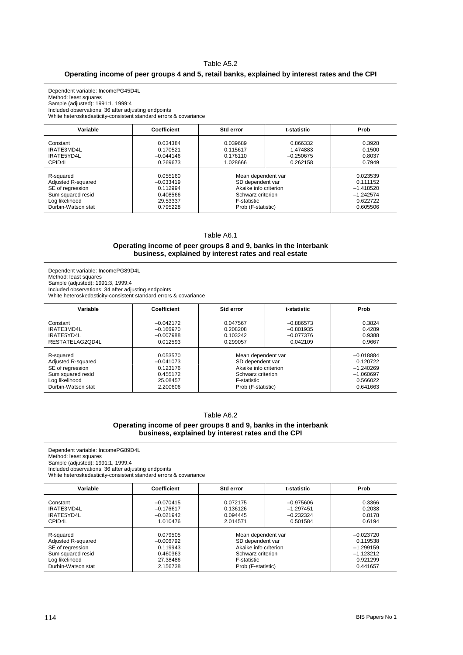## Table A5.2 **Operating income of peer groups 4 and 5, retail banks, explained by interest rates and the CPI**

Dependent variable: IncomePG45D4L Method: least squares Sample (adjusted): 1991:1, 1999:4 Included observations: 36 after adjusting endpoints White heteroskedasticity-consistent standard errors & covariance

| Variable           | Coefficient | Std error             | t-statistic | Prob        |
|--------------------|-------------|-----------------------|-------------|-------------|
| Constant           | 0.034384    | 0.039689              | 0.866332    | 0.3928      |
| IRATE3MD4L         | 0.170521    | 0.115617              | 1.474883    | 0.1500      |
| IRATE5YD4L         | $-0.044146$ | 0.176110              | $-0.250675$ | 0.8037      |
| CPID4L             | 0.269673    | 1.028666              | 0.262158    | 0.7949      |
| R-squared          | 0.055160    | Mean dependent var    |             | 0.023539    |
| Adjusted R-squared | $-0.033419$ | SD dependent var      |             | 0.111152    |
| SE of regression   | 0.112994    | Akaike info criterion |             | $-1.418520$ |
| Sum squared resid  | 0.408566    | Schwarz criterion     |             | $-1.242574$ |
| Log likelihood     | 29.53337    | F-statistic           |             | 0.622722    |
| Durbin-Watson stat | 0.795228    | Prob (F-statistic)    |             | 0.605506    |

#### Table A6.1

#### **Operating income of peer groups 8 and 9, banks in the interbank business, explained by interest rates and real estate**

Dependent variable: IncomePG89D4L

Method: least squares

Sample (adjusted): 1991:3, 1999:4

Included observations: 34 after adjusting endpoints

White heteroskedasticity-consistent standard errors & covariance

| Variable           | <b>Coefficient</b> | Std error             | t-statistic | Prob        |
|--------------------|--------------------|-----------------------|-------------|-------------|
| Constant           | $-0.042172$        | 0.047567              | $-0.886573$ | 0.3824      |
| IRATE3MD4L         | $-0.166970$        | 0.208208              | $-0.801935$ | 0.4289      |
| IRATE5YD4L         | $-0.007988$        | 0.103242              | $-0.077376$ | 0.9388      |
| RESTATELAG2QD4L    | 0.012593           | 0.299057              | 0.042109    | 0.9667      |
| R-squared          | 0.053570           | Mean dependent var    |             | $-0.018884$ |
| Adjusted R-squared | $-0.041073$        | SD dependent var      |             | 0.120722    |
| SE of regression   | 0.123176           | Akaike info criterion |             | $-1.240269$ |
| Sum squared resid  | 0.455172           | Schwarz criterion     |             | $-1.060697$ |
| Log likelihood     | 25.08457           | F-statistic           |             | 0.566022    |
| Durbin-Watson stat | 2.200606           | Prob (F-statistic)    |             | 0.641663    |

#### Table A6.2

#### **Operating income of peer groups 8 and 9, banks in the interbank business, explained by interest rates and the CPI**

Dependent variable: IncomePG89D4L

Method: least squares

Sample (adjusted): 1991:1, 1999:4

Included observations: 36 after adjusting endpoints

| Variable           | <b>Coefficient</b> | Std error             | t-statistic | Prob        |
|--------------------|--------------------|-----------------------|-------------|-------------|
| Constant           | $-0.070415$        | 0.072175              | $-0.975606$ | 0.3366      |
| IRATE3MD4L         | $-0.176617$        | 0.136126              | $-1.297451$ | 0.2038      |
| IRATE5YD4L         | $-0.021942$        | 0.094445              | $-0.232324$ | 0.8178      |
| CPID4L             | 1.010476           | 2.014571              | 0.501584    | 0.6194      |
| R-squared          | 0.079505           | Mean dependent var    |             | $-0.023720$ |
| Adjusted R-squared | $-0.006792$        | SD dependent var      |             | 0.119538    |
| SE of regression   | 0.119943           | Akaike info criterion |             | $-1.299159$ |
| Sum squared resid  | 0.460363           | Schwarz criterion     |             | $-1.123212$ |
| Log likelihood     | 27.38486           | F-statistic           |             | 0.921299    |
| Durbin-Watson stat | 2.156738           | Prob (F-statistic)    |             | 0.441657    |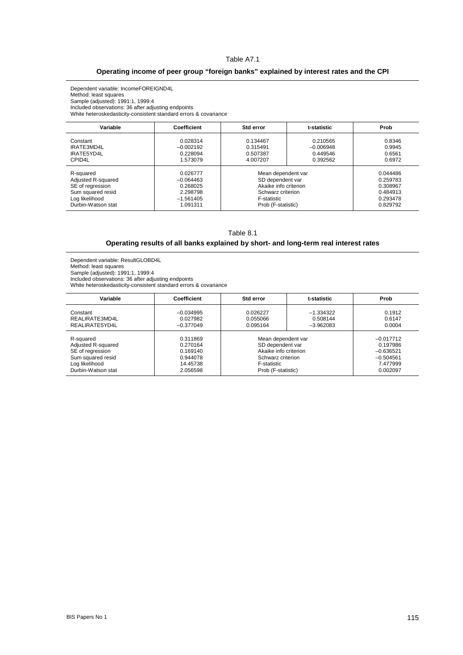## Table A7.1

#### **Operating income of peer group "foreign banks" explained by interest rates and the CPI**

Dependent variable: IncomeFOREIGND4L Method: least squares Sample (adjusted): 1991:1, 1999:4 Included observations: 36 after adjusting endpoints White heteroskedasticity-consistent standard errors & covariance

| Variable           | Coefficient | Std error             | t-statistic | Prob     |
|--------------------|-------------|-----------------------|-------------|----------|
| Constant           | 0.028314    | 0.134467              | 0.210565    | 0.8346   |
| IRATE3MD4L         | $-0.002192$ | 0.315491              | $-0.006948$ | 0.9945   |
| IRATE5YD4L         | 0.228094    | 0.507387              | 0.449546    | 0.6561   |
| CPID4L             | 1.573079    | 4.007207              | 0.392562    | 0.6972   |
| R-squared          | 0.026777    | Mean dependent var    |             | 0.044486 |
| Adjusted R-squared | $-0.064463$ | SD dependent var      |             | 0.259783 |
| SE of regression   | 0.268025    | Akaike info criterion |             | 0.308967 |
| Sum squared resid  | 2.298798    | Schwarz criterion     |             | 0.484913 |
| Log likelihood     | $-1.561405$ | F-statistic           |             | 0.293478 |
| Durbin-Watson stat | 1.091311    | Prob (F-statistic)    |             | 0.829792 |

#### Table 8.1

### **Operating results of all banks explained by short- and long-term real interest rates**

Dependent variable: ResultGLOBD4L Method: least squares Sample (adjusted): 1991:1, 1999:4

Included observations: 36 after adjusting endpoints

| Variable           | Coefficient | Std error             | t-statistic | Prob        |
|--------------------|-------------|-----------------------|-------------|-------------|
| Constant           | $-0.034995$ | 0.026227              | $-1.334322$ | 0.1912      |
| REALIRATE3MD4L     | 0.027982    | 0.055066              | 0.508144    | 0.6147      |
| REALIRATE5YD4L     | $-0.377049$ | 0.095164              | $-3.962083$ | 0.0004      |
| R-squared          | 0.311869    | Mean dependent var    |             | $-0.017712$ |
| Adjusted R-squared | 0.270164    | SD dependent var      |             | 0.197986    |
| SE of regression   | 0.169140    | Akaike info criterion |             | $-0.636521$ |
| Sum squared resid  | 0.944078    | Schwarz criterion     |             | $-0.504561$ |
| Log likelihood     | 14.45738    | F-statistic           |             | 7.477999    |
| Durbin-Watson stat | 2.056598    | Prob (F-statistic)    |             | 0.002097    |